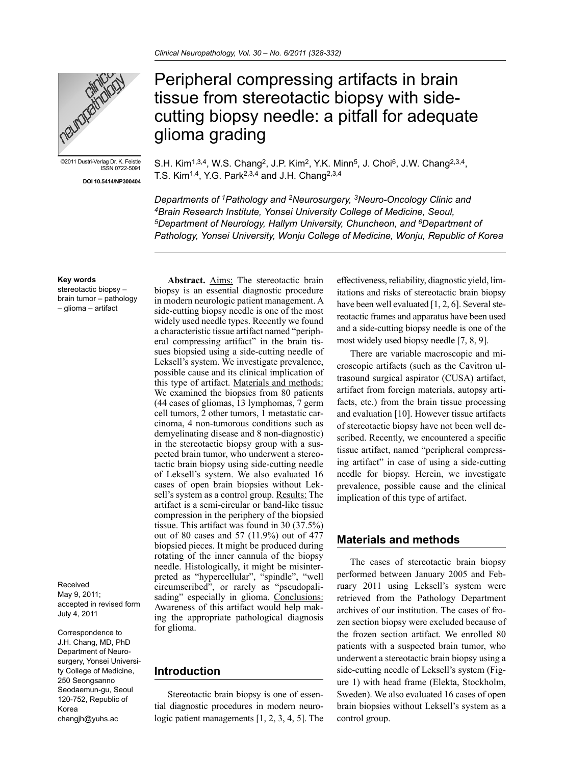T.S. Kim<sup>1,4</sup>, Y.G. Park<sup>2,3,4</sup> and J.H. Chang<sup>2,3,4</sup>

glioma grading

Peripheral compressing artifacts in brain tissue from stereotactic biopsy with side-

cutting biopsy needle: a pitfall for adequate

S.H. Kim<sup>1,3,4</sup>, W.S. Chang<sup>2</sup>, J.P. Kim<sup>2</sup>, Y.K. Minn<sup>5</sup>, J. Choi<sup>6</sup>, J.W. Chang<sup>2,3,4</sup>,

*Departments of 1Pathology and 2Neurosurgery, 3Neuro-Oncology Clinic and 4Brain Research Institute, Yonsei University College of Medicine, Seoul, 5Department of Neurology, Hallym University, Chuncheon, and 6Department of Pathology, Yonsei University, Wonju College of Medicine, Wonju, Republic of Korea*



©2011 Dustri-Verlag Dr. K. Feistle ISSN 0722-5091

**DOI 10.5414/NP300404**

## **Key words**

stereotactic biopsy – brain tumor – pathology – glioma – artifact

Received May 9, 2011; accepted in revised form July 4, 2011

Correspondence to J.H. Chang, MD, PhD Department of Neurosurgery, Yonsei University College of Medicine, 250 Seongsanno Seodaemun-gu, Seoul 120-752, Republic of Korea changjh@yuhs.ac

**Abstract.** Aims: The stereotactic brain biopsy is an essential diagnostic procedure in modern neurologic patient management. A side-cutting biopsy needle is one of the most widely used needle types. Recently we found a characteristic tissue artifact named "peripheral compressing artifact" in the brain tissues biopsied using a side-cutting needle of Leksell's system. We investigate prevalence, possible cause and its clinical implication of this type of artifact. Materials and methods: We examined the biopsies from 80 patients (44 cases of gliomas, 13 lymphomas, 7 germ cell tumors, 2 other tumors, 1 metastatic carcinoma, 4 non-tumorous conditions such as demyelinating disease and 8 non-diagnostic) in the stereotactic biopsy group with a suspected brain tumor, who underwent a stereotactic brain biopsy using side-cutting needle of Leksell's system. We also evaluated 16 cases of open brain biopsies without Leksell's system as a control group. Results: The artifact is a semi-circular or band-like tissue compression in the periphery of the biopsied tissue. This artifact was found in 30 (37.5%) out of 80 cases and 57 (11.9%) out of 477 biopsied pieces. It might be produced during rotating of the inner cannula of the biopsy needle. Histologically, it might be misinterpreted as "hypercellular", "spindle", "well circumscribed", or rarely as "pseudopalisading" especially in glioma. Conclusions: Awareness of this artifact would help making the appropriate pathological diagnosis for glioma.

### **Introduction**

Stereotactic brain biopsy is one of essential diagnostic procedures in modern neurologic patient managements [1, 2, 3, 4, 5]. The effectiveness, reliability, diagnostic yield, limitations and risks of stereotactic brain biopsy have been well evaluated [1, 2, 6]. Several stereotactic frames and apparatus have been used and a side-cutting biopsy needle is one of the most widely used biopsy needle [7, 8, 9].

There are variable macroscopic and microscopic artifacts (such as the Cavitron ultrasound surgical aspirator (CUSA) artifact, artifact from foreign materials, autopsy artifacts, etc.) from the brain tissue processing and evaluation [10]. However tissue artifacts of stereotactic biopsy have not been well described. Recently, we encountered a specific tissue artifact, named "peripheral compressing artifact" in case of using a side-cutting needle for biopsy. Herein, we investigate prevalence, possible cause and the clinical implication of this type of artifact.

# **Materials and methods**

The cases of stereotactic brain biopsy performed between January 2005 and February 2011 using Leksell's system were retrieved from the Pathology Department archives of our institution. The cases of frozen section biopsy were excluded because of the frozen section artifact. We enrolled 80 patients with a suspected brain tumor, who underwent a stereotactic brain biopsy using a side-cutting needle of Leksell's system (Figure 1) with head frame (Elekta, Stockholm, Sweden). We also evaluated 16 cases of open brain biopsies without Leksell's system as a control group.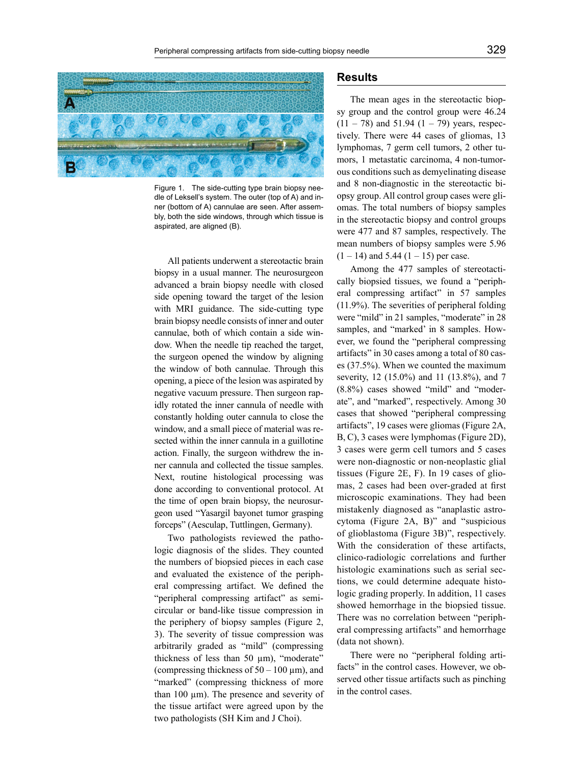

Figure 1. The side-cutting type brain biopsy needle of Leksell's system. The outer (top of A) and inner (bottom of A) cannulae are seen. After assembly, both the side windows, through which tissue is aspirated, are aligned (B).

All patients underwent a stereotactic brain biopsy in a usual manner. The neurosurgeon advanced a brain biopsy needle with closed side opening toward the target of the lesion with MRI guidance. The side-cutting type brain biopsy needle consists of inner and outer cannulae, both of which contain a side window. When the needle tip reached the target, the surgeon opened the window by aligning the window of both cannulae. Through this opening, a piece of the lesion was aspirated by negative vacuum pressure. Then surgeon rapidly rotated the inner cannula of needle with constantly holding outer cannula to close the window, and a small piece of material was resected within the inner cannula in a guillotine action. Finally, the surgeon withdrew the inner cannula and collected the tissue samples. Next, routine histological processing was done according to conventional protocol. At the time of open brain biopsy, the neurosurgeon used "Yasargil bayonet tumor grasping forceps" (Aesculap, Tuttlingen, Germany).

Two pathologists reviewed the pathologic diagnosis of the slides. They counted the numbers of biopsied pieces in each case and evaluated the existence of the peripheral compressing artifact. We defined the "peripheral compressing artifact" as semicircular or band-like tissue compression in the periphery of biopsy samples (Figure 2, 3). The severity of tissue compression was arbitrarily graded as "mild" (compressing thickness of less than 50  $\mu$ m), "moderate" (compressing thickness of  $50 - 100 \,\mu m$ ), and "marked" (compressing thickness of more than  $100 \mu m$ ). The presence and severity of the tissue artifact were agreed upon by the two pathologists (SH Kim and J Choi).

### **Results**

The mean ages in the stereotactic biopsy group and the control group were 46.24  $(11 - 78)$  and 51.94  $(1 - 79)$  years, respectively. There were 44 cases of gliomas, 13 lymphomas, 7 germ cell tumors, 2 other tumors, 1 metastatic carcinoma, 4 non-tumorous conditions such as demyelinating disease and 8 non-diagnostic in the stereotactic biopsy group. All control group cases were gliomas. The total numbers of biopsy samples in the stereotactic biopsy and control groups were 477 and 87 samples, respectively. The mean numbers of biopsy samples were 5.96  $(1 – 14)$  and 5.44  $(1 – 15)$  per case.

Among the 477 samples of stereotactically biopsied tissues, we found a "peripheral compressing artifact" in 57 samples (11.9%). The severities of peripheral folding were "mild" in 21 samples, "moderate" in 28 samples, and "marked' in 8 samples. However, we found the "peripheral compressing artifacts" in 30 cases among a total of 80 cases (37.5%). When we counted the maximum severity, 12 (15.0%) and 11 (13.8%), and 7 (8.8%) cases showed "mild" and "moderate", and "marked", respectively. Among 30 cases that showed "peripheral compressing artifacts", 19 cases were gliomas (Figure 2A, B, C), 3 cases were lymphomas (Figure 2D), 3 cases were germ cell tumors and 5 cases were non-diagnostic or non-neoplastic glial tissues (Figure 2E, F). In 19 cases of gliomas, 2 cases had been over-graded at first microscopic examinations. They had been mistakenly diagnosed as "anaplastic astrocytoma (Figure 2A, B)" and "suspicious of glioblastoma (Figure 3B)", respectively. With the consideration of these artifacts, clinico-radiologic correlations and further histologic examinations such as serial sections, we could determine adequate histologic grading properly. In addition, 11 cases showed hemorrhage in the biopsied tissue. There was no correlation between "peripheral compressing artifacts" and hemorrhage (data not shown).

There were no "peripheral folding artifacts" in the control cases. However, we observed other tissue artifacts such as pinching in the control cases.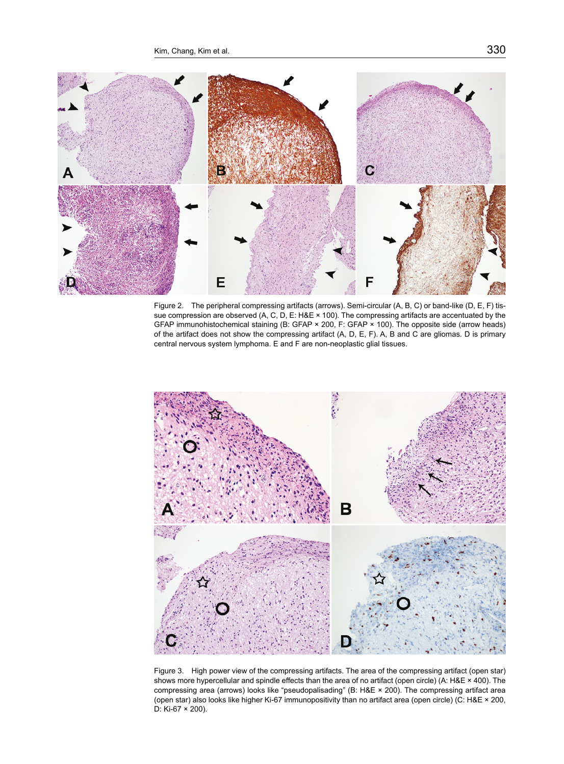

Figure 2. The peripheral compressing artifacts (arrows). Semi-circular (A, B, C) or band-like (D, E, F) tissue compression are observed (A, C, D, E: H&E × 100). The compressing artifacts are accentuated by the GFAP immunohistochemical staining (B: GFAP × 200, F: GFAP × 100). The opposite side (arrow heads) of the artifact does not show the compressing artifact (A, D, E, F). A, B and C are gliomas. D is primary central nervous system lymphoma. E and F are non-neoplastic glial tissues.



Figure 3. High power view of the compressing artifacts. The area of the compressing artifact (open star) shows more hypercellular and spindle effects than the area of no artifact (open circle) (A: H&E × 400). The compressing area (arrows) looks like "pseudopalisading" (B: H&E × 200). The compressing artifact area (open star) also looks like higher Ki-67 immunopositivity than no artifact area (open circle) (C: H&E × 200, D: Ki-67 × 200).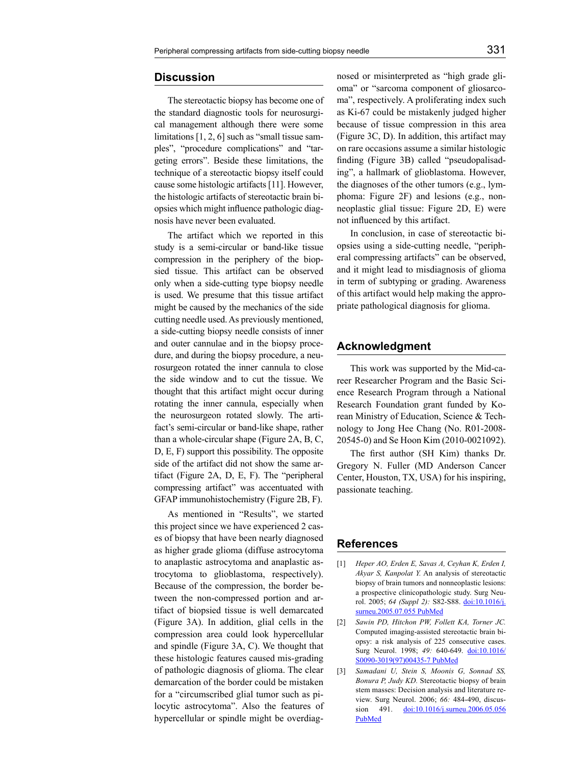#### **Discussion**

The stereotactic biopsy has become one of the standard diagnostic tools for neurosurgical management although there were some limitations [1, 2, 6] such as "small tissue samples", "procedure complications" and "targeting errors". Beside these limitations, the technique of a stereotactic biopsy itself could cause some histologic artifacts [11]. However, the histologic artifacts of stereotactic brain biopsies which might influence pathologic diagnosis have never been evaluated.

The artifact which we reported in this study is a semi-circular or band-like tissue compression in the periphery of the biopsied tissue. This artifact can be observed only when a side-cutting type biopsy needle is used. We presume that this tissue artifact might be caused by the mechanics of the side cutting needle used. As previously mentioned, a side-cutting biopsy needle consists of inner and outer cannulae and in the biopsy procedure, and during the biopsy procedure, a neurosurgeon rotated the inner cannula to close the side window and to cut the tissue. We thought that this artifact might occur during rotating the inner cannula, especially when the neurosurgeon rotated slowly. The artifact's semi-circular or band-like shape, rather than a whole-circular shape (Figure 2A, B, C, D, E, F) support this possibility. The opposite side of the artifact did not show the same artifact (Figure 2A, D, E, F). The "peripheral compressing artifact" was accentuated with GFAP immunohistochemistry (Figure 2B, F).

As mentioned in "Results", we started this project since we have experienced 2 cases of biopsy that have been nearly diagnosed as higher grade glioma (diffuse astrocytoma to anaplastic astrocytoma and anaplastic astrocytoma to glioblastoma, respectively). Because of the compression, the border between the non-compressed portion and artifact of biopsied tissue is well demarcated (Figure 3A). In addition, glial cells in the compression area could look hypercellular and spindle (Figure 3A, C). We thought that these histologic features caused mis-grading of pathologic diagnosis of glioma. The clear demarcation of the border could be mistaken for a "circumscribed glial tumor such as pilocytic astrocytoma". Also the features of hypercellular or spindle might be overdiagnosed or misinterpreted as "high grade glioma" or "sarcoma component of gliosarcoma", respectively. A proliferating index such as Ki-67 could be mistakenly judged higher because of tissue compression in this area (Figure 3C, D). In addition, this artifact may on rare occasions assume a similar histologic finding (Figure 3B) called "pseudopalisading", a hallmark of glioblastoma. However, the diagnoses of the other tumors (e.g., lymphoma: Figure 2F) and lesions (e.g., nonneoplastic glial tissue: Figure 2D, E) were not influenced by this artifact.

In conclusion, in case of stereotactic biopsies using a side-cutting needle, "peripheral compressing artifacts" can be observed, and it might lead to misdiagnosis of glioma in term of subtyping or grading. Awareness of this artifact would help making the appropriate pathological diagnosis for glioma.

### **Acknowledgment**

This work was supported by the Mid-career Researcher Program and the Basic Science Research Program through a National Research Foundation grant funded by Korean Ministry of Education, Science & Technology to Jong Hee Chang (No. R01-2008- 20545-0) and Se Hoon Kim (2010-0021092).

The first author (SH Kim) thanks Dr. Gregory N. Fuller (MD Anderson Cancer Center, Houston, TX, USA) for his inspiring, passionate teaching.

#### **References**

- [1] *Heper AO, Erden E, Savas A, Ceyhan K, Erden I, Akyar S, Kanpolat Y.* An analysis of stereotactic biopsy of brain tumors and nonneoplastic lesions: a prospective clinicopathologic study. Surg Neurol. 2005; *64 (Suppl 2):* S82-S88. [doi:10.1016/j.](http://dx.doi.org/10.1016/j.surneu.2005.07.055) [surneu.2005.07.055](http://dx.doi.org/10.1016/j.surneu.2005.07.055) [PubMed](http://www.ncbi.nlm.nih.gov/entrez/query.fcgi?cmd=Retrieve&db=PubMed&list_uids=16256850&dopt=Abstract)
- [2] *Sawin PD, Hitchon PW, Follett KA, Torner JC.* Computed imaging-assisted stereotactic brain biopsy: a risk analysis of 225 consecutive cases. Surg Neurol. 1998; *49:* 640-649. [doi:10.1016/](http://dx.doi.org/10.1016/S0090-3019(97)00435-7) [S0090-3019\(97\)00435-7](http://dx.doi.org/10.1016/S0090-3019(97)00435-7) [PubMed](http://www.ncbi.nlm.nih.gov/entrez/query.fcgi?cmd=Retrieve&db=PubMed&list_uids=9637625&dopt=Abstract)
- [3] *Samadani U, Stein S, Moonis G, Sonnad SS, Bonura P, Judy KD.* Stereotactic biopsy of brain stem masses: Decision analysis and literature review. Surg Neurol. 2006; *66:* 484-490, discussion 491. <u>[doi:10.1016/j.surneu.2006.05.056](http://dx.doi.org/10.1016/j.surneu.2006.05.056)</u> [PubMed](http://www.ncbi.nlm.nih.gov/entrez/query.fcgi?cmd=Retrieve&db=PubMed&list_uids=17084194&dopt=Abstract)